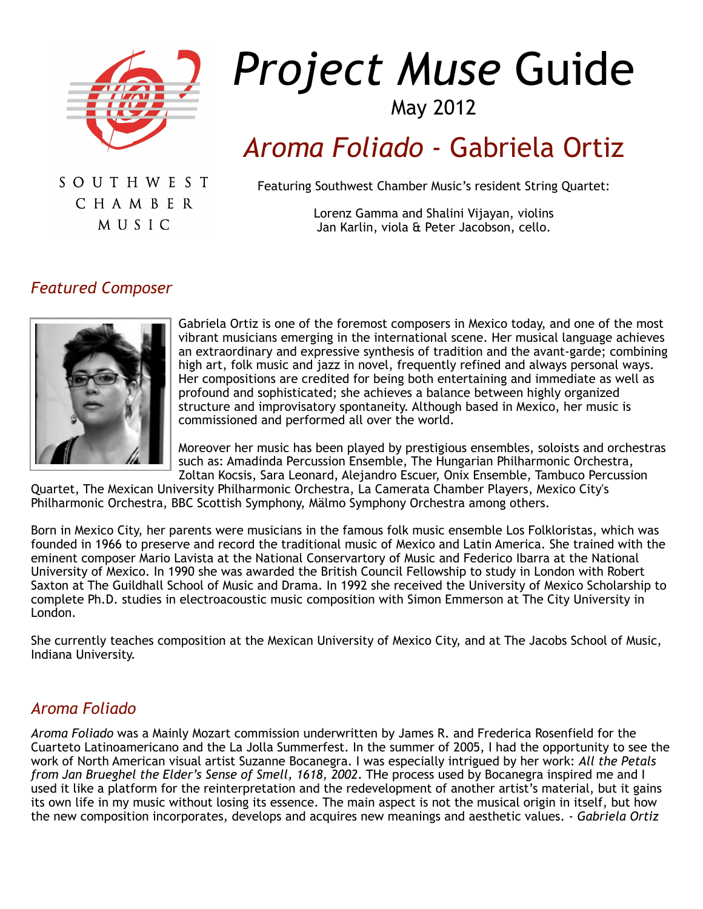

# *Project Muse* Guide

# May 2012

# *Aroma Foliado* - Gabriela Ortiz

SOUTHWEST CHAMBER MUSIC

Featuring Southwest Chamber Music's resident String Quartet:

Lorenz Gamma and Shalini Vijayan, violins Jan Karlin, viola & Peter Jacobson, cello.

#### *Featured Composer*



Gabriela Ortiz is one of the foremost composers in Mexico today, and one of the most vibrant musicians emerging in the international scene. Her musical language achieves an extraordinary and expressive synthesis of tradition and the avant-garde; combining high art, folk music and jazz in novel, frequently refined and always personal ways. Her compositions are credited for being both entertaining and immediate as well as profound and sophisticated; she achieves a balance between highly organized structure and improvisatory spontaneity. Although based in Mexico, her music is commissioned and performed all over the world.

Moreover her music has been played by prestigious ensembles, soloists and orchestras such as: Amadinda Percussion Ensemble, The Hungarian Philharmonic Orchestra, Zoltan Kocsis, Sara Leonard, Alejandro Escuer, Onix Ensemble, Tambuco Percussion

Quartet, The Mexican University Philharmonic Orchestra, La Camerata Chamber Players, Mexico City's Philharmonic Orchestra, BBC Scottish Symphony, Mälmo Symphony Orchestra among others.

Born in Mexico City, her parents were musicians in the famous folk music ensemble Los Folkloristas, which was founded in 1966 to preserve and record the traditional music of Mexico and Latin America. She trained with the eminent composer Mario Lavista at the National Conservartory of Music and Federico Ibarra at the National University of Mexico. In 1990 she was awarded the British Council Fellowship to study in London with Robert Saxton at The Guildhall School of Music and Drama. In 1992 she received the University of Mexico Scholarship to complete Ph.D. studies in electroacoustic music composition with Simon Emmerson at The City University in London.

She currently teaches composition at the Mexican University of Mexico City, and at The Jacobs School of Music, Indiana University.

#### *Aroma Foliado*

*Aroma Foliado* was a Mainly Mozart commission underwritten by James R. and Frederica Rosenfield for the Cuarteto Latinoamericano and the La Jolla Summerfest. In the summer of 2005, I had the opportunity to see the work of North American visual artist Suzanne Bocanegra. I was especially intrigued by her work: *All the Petals from Jan Brueghel the Elder's Sense of Smell, 1618, 2002*. THe process used by Bocanegra inspired me and I used it like a platform for the reinterpretation and the redevelopment of another artist's material, but it gains its own life in my music without losing its essence. The main aspect is not the musical origin in itself, but how the new composition incorporates, develops and acquires new meanings and aesthetic values. - *Gabriela Ortiz*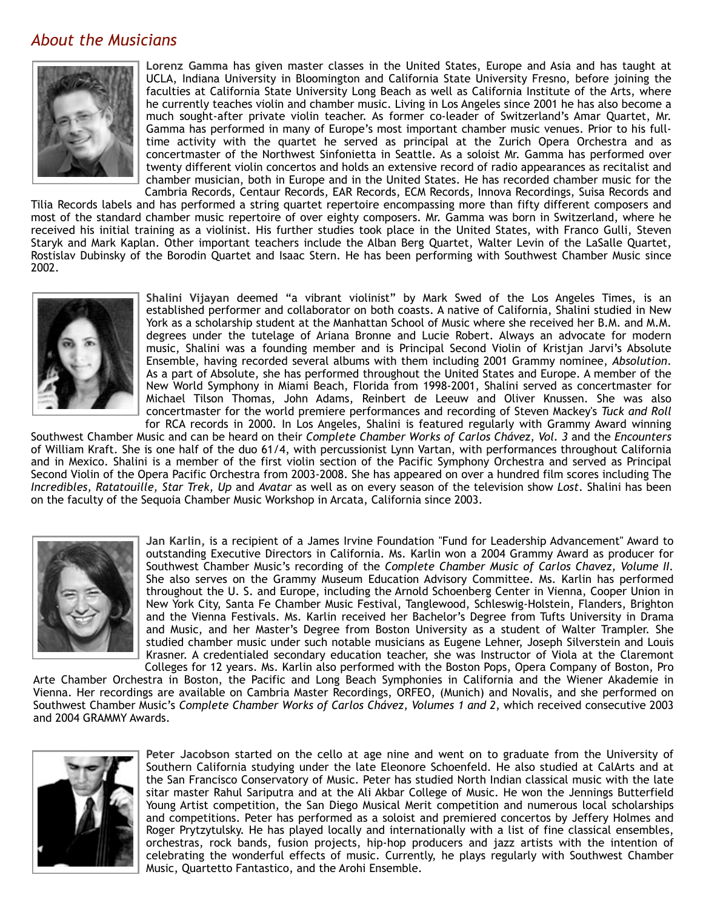#### *About the Musicians*



**Lorenz Gamma** has given master classes in the United States, Europe and Asia and has taught at UCLA, Indiana University in Bloomington and California State University Fresno, before joining the faculties at California State University Long Beach as well as California Institute of the Arts, where he currently teaches violin and chamber music. Living in Los Angeles since 2001 he has also become a much sought-after private violin teacher. As former co-leader of Switzerland's Amar Quartet, Mr. Gamma has performed in many of Europe's most important chamber music venues. Prior to his fulltime activity with the quartet he served as principal at the Zurich Opera Orchestra and as concertmaster of the Northwest Sinfonietta in Seattle. As a soloist Mr. Gamma has performed over twenty different violin concertos and holds an extensive record of radio appearances as recitalist and chamber musician, both in Europe and in the United States. He has recorded chamber music for the Cambria Records, Centaur Records, EAR Records, ECM Records, Innova Recordings, Suisa Records and

Tilia Records labels and has performed a string quartet repertoire encompassing more than fifty different composers and most of the standard chamber music repertoire of over eighty composers. Mr. Gamma was born in Switzerland, where he received his initial training as a violinist. His further studies took place in the United States, with Franco Gulli, Steven Staryk and Mark Kaplan. Other important teachers include the Alban Berg Quartet, Walter Levin of the LaSalle Quartet, Rostislav Dubinsky of the Borodin Quartet and Isaac Stern. He has been performing with Southwest Chamber Music since 2002.



**Shalini Vijayan** deemed "a vibrant violinist" by Mark Swed of the Los Angeles Times, is an established performer and collaborator on both coasts. A native of California, Shalini studied in New York as a scholarship student at the Manhattan School of Music where she received her B.M. and M.M. degrees under the tutelage of Ariana Bronne and Lucie Robert. Always an advocate for modern music, Shalini was a founding member and is Principal Second Violin of Kristjan Jarvi's Absolute Ensemble, having recorded several albums with them including 2001 Grammy nominee, *Absolution*. As a part of Absolute, she has performed throughout the United States and Europe. A member of the New World Symphony in Miami Beach, Florida from 1998-2001, Shalini served as concertmaster for Michael Tilson Thomas, John Adams, Reinbert de Leeuw and Oliver Knussen. She was also concertmaster for the world premiere performances and recording of Steven Mackey's *Tuck and Roll* for RCA records in 2000. In Los Angeles, Shalini is featured regularly with Grammy Award winning

Southwest Chamber Music and can be heard on their *Complete Chamber Works of Carlos Chávez, Vol. 3* and the *Encounters* of William Kraft. She is one half of the duo 61/4, with percussionist Lynn Vartan, with performances throughout California and in Mexico. Shalini is a member of the first violin section of the Pacific Symphony Orchestra and served as Principal Second Violin of the Opera Pacific Orchestra from 2003-2008. She has appeared on over a hundred film scores including The *Incredibles, Ratatouille, Star Trek, Up* and *Avatar* as well as on every season of the television show *Lost*. Shalini has been on the faculty of the Sequoia Chamber Music Workshop in Arcata, California since 2003.



**Jan Karlin,** is a recipient of a James Irvine Foundation "Fund for Leadership Advancement" Award to outstanding Executive Directors in California. Ms. Karlin won a 2004 Grammy Award as producer for Southwest Chamber Music's recording of the *Complete Chamber Music of Carlos Chavez, Volume II.* She also serves on the Grammy Museum Education Advisory Committee. Ms. Karlin has performed throughout the U. S. and Europe, including the Arnold Schoenberg Center in Vienna, Cooper Union in New York City, Santa Fe Chamber Music Festival, Tanglewood, Schleswig-Holstein, Flanders, Brighton and the Vienna Festivals. Ms. Karlin received her Bachelor's Degree from Tufts University in Drama and Music, and her Master's Degree from Boston University as a student of Walter Trampler. She studied chamber music under such notable musicians as Eugene Lehner, Joseph Silverstein and Louis Krasner. A credentialed secondary education teacher, she was Instructor of Viola at the Claremont Colleges for 12 years. Ms. Karlin also performed with the Boston Pops, Opera Company of Boston, Pro

Arte Chamber Orchestra in Boston, the Pacific and Long Beach Symphonies in California and the Wiener Akademie in Vienna. Her recordings are available on Cambria Master Recordings, ORFEO, (Munich) and Novalis, and she performed on Southwest Chamber Music's *Complete Chamber Works of Carlos Chávez, Volumes 1 and 2*, which received consecutive 2003 and 2004 GRAMMY Awards.



**Peter Jacobson** started on the cello at age nine and went on to graduate from the University of Southern California studying under the late Eleonore Schoenfeld. He also studied at CalArts and at the San Francisco Conservatory of Music. Peter has studied North Indian classical music with the late sitar master Rahul Sariputra and at the Ali Akbar College of Music. He won the Jennings Butterfield Young Artist competition, the San Diego Musical Merit competition and numerous local scholarships and competitions. Peter has performed as a soloist and premiered concertos by Jeffery Holmes and Roger Prytzytulsky. He has played locally and internationally with a list of fine classical ensembles, orchestras, rock bands, fusion projects, hip-hop producers and jazz artists with the intention of celebrating the wonderful effects of music. Currently, he plays regularly with Southwest Chamber Music, Quartetto Fantastico, and the Arohi Ensemble.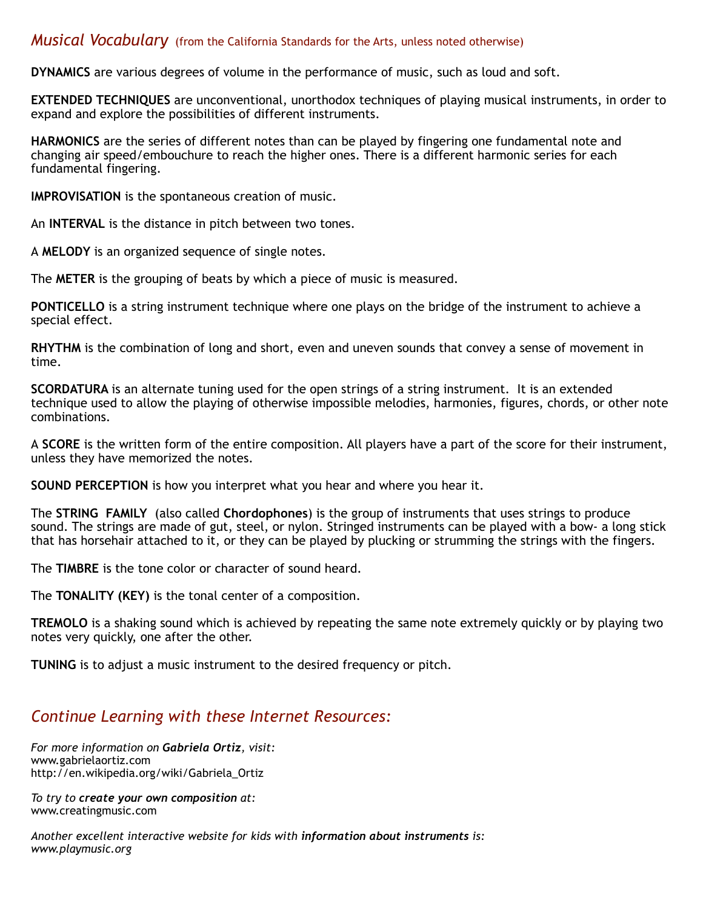#### *Musical Vocabulary* (from the California Standards for the Arts, unless noted otherwise)

**DYNAMICS** are various degrees of volume in the performance of music, such as loud and soft.

**EXTENDED TECHNIQUES** are unconventional, unorthodox techniques of playing musical instruments, in order to expand and explore the possibilities of different instruments.

**HARMONICS** are the series of different notes than can be played by fingering one fundamental note and changing air speed/embouchure to reach the higher ones. There is a different harmonic series for each fundamental fingering.

**IMPROVISATION** is the spontaneous creation of music.

An **INTERVAL** is the distance in pitch between two tones.

A **MELODY** is an organized sequence of single notes.

The **METER** is the grouping of beats by which a piece of music is measured.

**PONTICELLO** is a string instrument technique where one plays on the bridge of the instrument to achieve a special effect.

**RHYTHM** is the combination of long and short, even and uneven sounds that convey a sense of movement in time.

**SCORDATURA** is an alternate tuning used for the open strings of a string instrument. It is an extended technique used to allow the playing of otherwise impossible melodies, harmonies, figures, chords, or other note combinations.

A **SCORE** is the written form of the entire composition. All players have a part of the score for their instrument, unless they have memorized the notes.

**SOUND PERCEPTION** is how you interpret what you hear and where you hear it.

The **STRING FAMILY** (also called **Chordophones**) is the group of instruments that uses strings to produce sound. The strings are made of gut, steel, or nylon. Stringed instruments can be played with a bow- a long stick that has horsehair attached to it, or they can be played by plucking or strumming the strings with the fingers.

The **TIMBRE** is the tone color or character of sound heard.

The **TONALITY (KEY)** is the tonal center of a composition.

**TREMOLO** is a shaking sound which is achieved by repeating the same note extremely quickly or by playing two notes very quickly, one after the other.

**TUNING** is to adjust a music instrument to the desired frequency or pitch.

#### *Continue Learning with these Internet Resources:*

*For more information on Gabriela Ortiz, visit:* www.gabrielaortiz.com http://en.wikipedia.org/wiki/Gabriela\_Ortiz

*To try to create your own composition at:* www.creatingmusic.com

*Another excellent interactive website for kids with information about instruments is: www.playmusic.org*